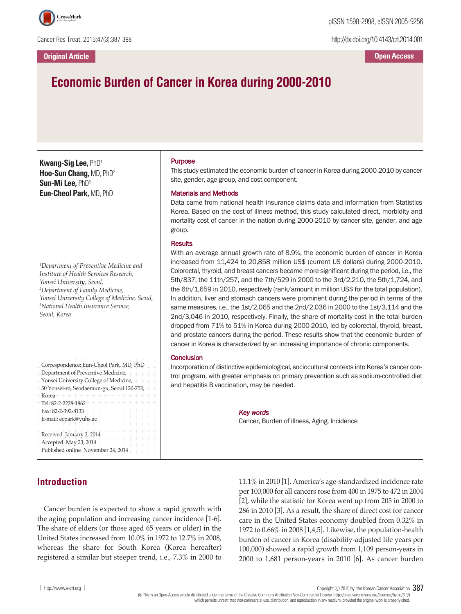

Cancer Res Treat. 2015;47(3):387-398

http://dx.doi.org/10.4143/crt.2014.001

# **Economic Burden of Cancer in Korea during 2000-2010**

**Kwang-Sig Lee,** PhD1 **Hoo-Sun Chang,** MD, PhD2 **Sun-Mi Lee,** PhD3 **Eun-Cheol Park,** MD, PhD1

*1 Department of Preventive Medicine and Institute of Health Services Research, Yonsei University, Seoul, 2 Department of Family Medicine, Yonsei University College of Medicine, Seoul, 3 National Health Insurance Service, Seoul, Korea*

| Correspondence: Eun-Cheol Park, MD, PhD<br>Department of Preventive Medicine, $++++$<br>Yonsei University College of Medicine, + + + +<br>50 Yonsei-ro, Seodaemun-gu, Seoul-120-752, + +<br>$+$ Korea+ + + + + + + + + + + + + + + + +<br>$+$ Tel: 82-2-2228-1862 + + + + + + + + + + + + |
|-------------------------------------------------------------------------------------------------------------------------------------------------------------------------------------------------------------------------------------------------------------------------------------------|
| $+$ Fax: 82-2-392-8133 + + + + + + + + + + + +<br>E-mail: ecpark@yuhs.ac + + + + + + + + + + +<br>$+ + + + + + +$<br>$+ + + + + +$<br>Received January 2, 2014<br>$+ + + + + + + +$                                                                                                       |
| Accepted May 23, 2014<br>$+ + + + + + +$<br>Published online November 24, 2014                                                                                                                                                                                                            |

## **Introduction**

## Purpose

This study estimated the economic burden of cancer in Korea during 2000-2010 by cancer site, gender, age group, and cost component.

#### Materials and Methods

Data came from national health insurance claims data and information from Statistics Korea. Based on the cost of illness method, this study calculated direct, morbidity and mortality cost of cancer in the nation during 2000-2010 by cancer site, gender, and age group.

#### **Results**

With an average annual growth rate of 8.9%, the economic burden of cancer in Korea increased from 11,424 to 20,858 million US\$ (current US dollars) during 2000-2010. Colorectal, thyroid, and breast cancers became more significant during the period, i.e., the 5th/837, the 11th/257, and the 7th/529 in 2000 to the 3rd/2,210, the 5th/1,724, and the 6th/1,659 in 2010, respectively (rank/amount in million US\$ for the total population). In addition, liver and stomach cancers were prominent during the period in terms of the same measures, i.e., the 1st/2,065 and the 2nd/2,036 in 2000 to the 1st/3,114 and the 2nd/3,046 in 2010, respectively. Finally, the share of mortality cost in the total burden dropped from 71% to 51% in Korea during 2000-2010, led by colorectal, thyroid, breast, and prostate cancers during the period. These results show that the economic burden of cancer in Korea is characterized by an increasing importance of chronic components.

#### **Conclusion**

Incorporation of distinctive epidemiological, sociocultural contexts into Korea's cancer control program, with greater emphasis on primary prevention such as sodium-controlled diet and hepatitis B vaccination, may be needed.

> *Key words* Cancer, Burden of illness, Aging, Incidence

Cancer burden is expected to show a rapid growth with the aging population and increasing cancer incidence [1-6]. The share of elders (or those aged 65 years or older) in the United States increased from 10.0% in 1972 to 12.7% in 2008, whereas the share for South Korea (Korea hereafter) registered a similar but steeper trend, i.e., 7.3% in 2000 to

11.1% in 2010 [1]. America's age-standardized incidence rate per 100,000 for all cancers rose from 400 in 1975 to 472 in 2004 [2], while the statistic for Korea went up from 205 in 2000 to 286 in 2010 [3]. As a result, the share of direct cost for cancer care in the United States economy doubled from 0.32% in 1972 to 0.66% in 2008 [1,4,5]. Likewise, the population-health burden of cancer in Korea (disability-adjusted life years per 100,000) showed a rapid growth from 1,109 person-years in 2000 to 1,681 person-years in 2010 [6]. As cancer burden

│ http://www.e-crt.org │ Copyright ⓒ <sup>2015</sup> by the Korean Cancer Association 387

Thisis an Open-Access article distributed under the terms of the Creative Commons Attribution Non-CommercialLicense (http://creativecommons.org/licenses/by-nc/3.0/) which permits unrestricted non-commercial use, distribution, and reproduction in any medium, provided the original workis properlycited.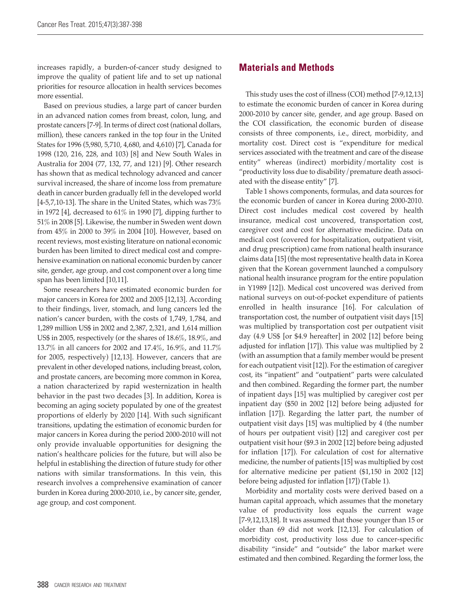increases rapidly, a burden-of-cancer study designed to improve the quality of patient life and to set up national priorities for resource allocation in health services becomes more essential.

Based on previous studies, a large part of cancer burden in an advanced nation comes from breast, colon, lung, and prostate cancers [7-9]. In terms of direct cost (national dollars, million), these cancers ranked in the top four in the United States for 1996 (5,980, 5,710, 4,680, and 4,610) [7], Canada for 1998 (120, 216, 228, and 103) [8] and New South Wales in Australia for 2004 (77, 132, 77, and 121) [9]. Other research has shown that as medical technology advanced and cancer survival increased, the share of income loss from premature death in cancer burden gradually fell in the developed world [4-5,7,10-13]. The share in the United States, which was 73% in 1972 [4], decreased to 61% in 1990 [7], dipping further to 51% in 2008 [5]. Likewise, the number in Sweden went down from 45% in 2000 to 39% in 2004 [10]. However, based on recent reviews, most existing literature on national economic burden has been limited to direct medical cost and comprehensive examination on national economic burden by cancer site, gender, age group, and cost component over a long time span has been limited [10,11].

Some researchers have estimated economic burden for major cancers in Korea for 2002 and 2005 [12,13]. According to their findings, liver, stomach, and lung cancers led the nation's cancer burden, with the costs of 1,749, 1,784, and 1,289 million US\$ in 2002 and 2,387, 2,321, and 1,614 million US\$ in 2005, respectively (or the shares of 18.6%, 18.9%, and 13.7% in all cancers for 2002 and 17.4%, 16.9%, and 11.7% for 2005, respectively) [12,13]. However, cancers that are prevalent in other developed nations, including breast, colon, and prostate cancers, are becoming more common in Korea, a nation characterized by rapid westernization in health behavior in the past two decades [3]. In addition, Korea is becoming an aging society populated by one of the greatest proportions of elderly by 2020 [14]. With such significant transitions, updating the estimation of economic burden for major cancers in Korea during the period 2000-2010 will not only provide invaluable opportunities for designing the nation's healthcare policies for the future, but will also be helpful in establishing the direction of future study for other nations with similar transformations. In this vein, this research involves a comprehensive examination of cancer burden in Korea during 2000-2010, i.e., by cancer site, gender, age group, and cost component.

## **Materials and Methods**

This study uses the cost of illness (COI) method [7-9,12,13] to estimate the economic burden of cancer in Korea during 2000-2010 by cancer site, gender, and age group. Based on the COI classification, the economic burden of disease consists of three components, i.e., direct, morbidity, and mortality cost. Direct cost is "expenditure for medical services associated with the treatment and care of the disease entity" whereas (indirect) morbidity/mortality cost is "productivity loss due to disability/premature death associated with the disease entity" [7].

Table 1 shows components, formulas, and data sources for the economic burden of cancer in Korea during 2000-2010. Direct cost includes medical cost covered by health insurance, medical cost uncovered, transportation cost, caregiver cost and cost for alternative medicine. Data on medical cost (covered for hospitalization, outpatient visit, and drug prescription) came from national health insurance claims data [15] (the most representative health data in Korea given that the Korean government launched a compulsory national health insurance program for the entire population in Y1989 [12]). Medical cost uncovered was derived from national surveys on out-of-pocket expenditure of patients enrolled in health insurance [16]. For calculation of transportation cost, the number of outpatient visit days [15] was multiplied by transportation cost per outpatient visit day (4.9 US\$ [or \$4.9 hereafter] in 2002 [12] before being adjusted for inflation [17]). This value was multiplied by 2 (with an assumption that a family member would be present for each outpatient visit [12]). For the estimation of caregiver cost, its "inpatient" and "outpatient" parts were calculated and then combined. Regarding the former part, the number of inpatient days [15] was multiplied by caregiver cost per inpatient day (\$50 in 2002 [12] before being adjusted for inflation [17]). Regarding the latter part, the number of outpatient visit days [15] was multiplied by 4 (the number of hours per outpatient visit) [12] and caregiver cost per outpatient visit hour (\$9.3 in 2002 [12] before being adjusted for inflation [17]). For calculation of cost for alternative medicine, the number of patients [15] was multiplied by cost for alternative medicine per patient (\$1,150 in 2002 [12] before being adjusted for inflation [17]) (Table 1).

Morbidity and mortality costs were derived based on a human capital approach, which assumes that the monetary value of productivity loss equals the current wage [7-9,12,13,18]. It was assumed that those younger than 15 or older than 69 did not work [12,13]. For calculation of morbidity cost, productivity loss due to cancer-specific disability "inside" and "outside" the labor market were estimated and then combined. Regarding the former loss, the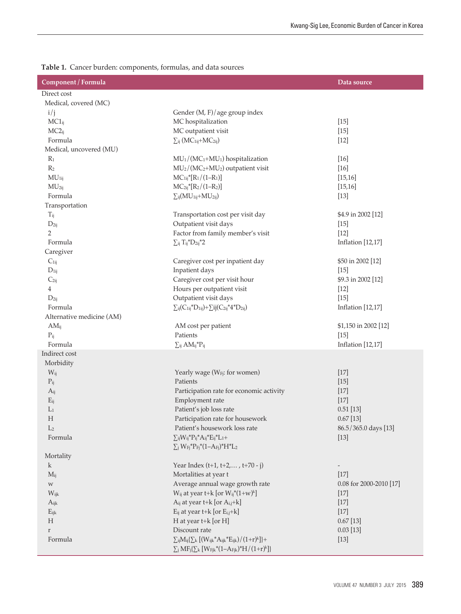|  | Table 1. Cancer burden: components, formulas, and data sources |  |  |  |
|--|----------------------------------------------------------------|--|--|--|
|--|----------------------------------------------------------------|--|--|--|

Ï

| Component / Formula       |                                                                                                                                                                | Data source              |
|---------------------------|----------------------------------------------------------------------------------------------------------------------------------------------------------------|--------------------------|
| Direct cost               |                                                                                                                                                                |                          |
| Medical, covered (MC)     |                                                                                                                                                                |                          |
| i/j                       | Gender (M, F)/age group index                                                                                                                                  |                          |
| $MC1_{ij}$                | MC hospitalization                                                                                                                                             | $[15]$                   |
| $MC2_{ij}$                | MC outpatient visit                                                                                                                                            | $[15]$                   |
| Formula                   | $\sum_{ij} (MC_{1ij}+MC_{2ij})$                                                                                                                                | $[12]$                   |
| Medical, uncovered (MU)   |                                                                                                                                                                |                          |
| $R_1$                     | MU <sub>1</sub> /(MC <sub>1</sub> +MU <sub>1</sub> ) hospitalization                                                                                           | $[16]$                   |
| R <sub>2</sub>            | MU <sub>2</sub> /(MC <sub>2</sub> +MU <sub>2</sub> ) outpatient visit                                                                                          | $[16]$                   |
| MU <sub>1ij</sub>         | $MC_{1ij}*[R_1/(1-R_1)]$                                                                                                                                       | [15, 16]                 |
| MU <sub>2ij</sub>         | $MC_{2ij}*[R_2/(1-R_2)]$                                                                                                                                       | [15, 16]                 |
| Formula                   | $\Sigma_{ij}(MU_{1ij}+MU_{2ij})$                                                                                                                               | $[13]$                   |
| Transportation            |                                                                                                                                                                |                          |
| $T_{ij}$                  | Transportation cost per visit day                                                                                                                              | \$4.9 in 2002 [12]       |
| $D_{2ij}$                 | Outpatient visit days                                                                                                                                          | $[15]$                   |
| $\overline{2}$            | Factor from family member's visit                                                                                                                              | $[12]$                   |
| Formula                   | $\sum_{ij} T_{ij}^* D_{2ij}^* 2$                                                                                                                               | <b>Inflation</b> [12,17] |
| Caregiver                 |                                                                                                                                                                |                          |
| $C_{1ij}$                 | Caregiver cost per inpatient day                                                                                                                               | \$50 in 2002 [12]        |
| $D_{1ij}$                 | Inpatient days                                                                                                                                                 | $[15]$                   |
| $C_{2ij}$                 | Caregiver cost per visit hour                                                                                                                                  | \$9.3 in 2002 [12]       |
| 4                         | Hours per outpatient visit                                                                                                                                     | $[12]$                   |
| $D_{2ij}$                 | Outpatient visit days                                                                                                                                          | $[15]$                   |
| Formula                   | $\sum_{ij} (C_{1ij}^* D_{1ij}) + \sum_{ij} (C_{2ij}^* 4^* D_{2ij})$                                                                                            | Inflation [12,17]        |
| Alternative medicine (AM) |                                                                                                                                                                |                          |
| $AM_{ij}$                 | AM cost per patient                                                                                                                                            | \$1,150 in 2002 [12]     |
| $P_{ij}$                  | Patients                                                                                                                                                       | $[15]$                   |
| Formula                   | $\sum_{ij} AM_{ij}$ * $P_{ij}$                                                                                                                                 | <b>Inflation</b> [12,17] |
| Indirect cost             |                                                                                                                                                                |                          |
| Morbidity                 |                                                                                                                                                                |                          |
| $W_{ij}$                  | Yearly wage (W <sub>Fj</sub> : for women)                                                                                                                      | $[17]$                   |
| $P_{ij}$                  | Patients                                                                                                                                                       | $[15]$                   |
| $A_{ij}$                  | Participation rate for economic activity                                                                                                                       | $[17]$                   |
| $E_{ij}$                  | Employment rate                                                                                                                                                | $[17]$                   |
| $L_1$                     | Patient's job loss rate                                                                                                                                        | $0.51$ [13]              |
| Н                         | Participation rate for housework                                                                                                                               | 0.67[13]                 |
| L <sub>2</sub>            | Patient's housework loss rate                                                                                                                                  | 86.5/365.0 days [13]     |
| Formula                   | $\sum_{ij}W_{ij}^*P_{ij}^*A_{ij}^*E_{ij}^*L_1 +$                                                                                                               | $[13]$                   |
|                           | $\Sigma_j W_{Fj}^* P_{Fj}^*(1-A_{Fj})^* H^* L_2$                                                                                                               |                          |
|                           |                                                                                                                                                                |                          |
| Mortality                 |                                                                                                                                                                |                          |
| k.                        | Year Index (t+1, t+2,, t+70 - j)                                                                                                                               |                          |
| $M_{ij}$                  | Mortalities at year t                                                                                                                                          | $[17]$                   |
| $\ensuremath{\text{W}}$   | Average annual wage growth rate                                                                                                                                | 0.08 for 2000-2010 [17]  |
| Wijk                      | $W_{ij}$ at year t+k [or $W_{ij}$ *(1+w) <sup>k</sup> ]                                                                                                        | $[17]$                   |
| Aijk                      | $A_{ij}$ at year t+k [or $A_{i,j}$ +k]                                                                                                                         | $[17]$                   |
| $E_{ijk}$                 | $E_{ij}$ at year t+k [or $E_{i,j}$ +k]                                                                                                                         | $[17]$                   |
| H                         | H at year t+k [or H]                                                                                                                                           | $0.67$ [13]              |
| $\, r$                    | Discount rate                                                                                                                                                  | $0.03$ [13]              |
| Formula                   | $\sum_{ij}M_{ij}\{\sum_{k}\left[(W_{ijk}{}^{*}A_{ijk}{}^{*}E_{ijk})/(1+r)^{k}\right]\}+$<br>$\sum_{j} MF_{j}\{\sum_{k} [W_{Fjk}*(1-A_{Fjk})^{*}H/(1+r)^{k}]\}$ | $[13]$                   |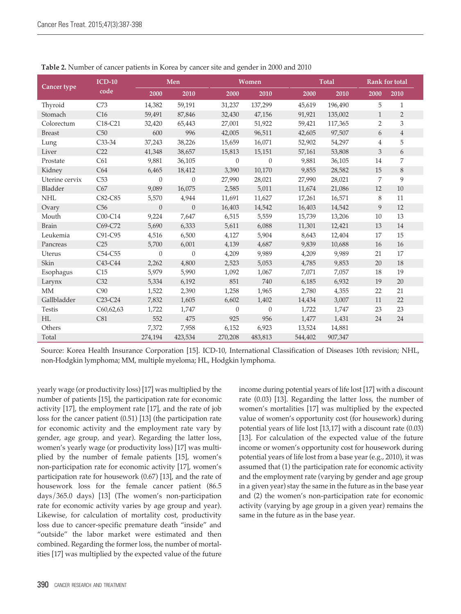|                | $ICD-10$                         |                | Men              |          | Women          |         | <b>Total</b> |                | Rank for total |
|----------------|----------------------------------|----------------|------------------|----------|----------------|---------|--------------|----------------|----------------|
| Cancer type    | code                             | 2000           | 2010             | 2000     | 2010           | 2000    | 2010         | 2000           | 2010           |
| Thyroid        | C73                              | 14,382         | 59,191           | 31,237   | 137,299        | 45,619  | 196,490      | 5              | $\mathbf{1}$   |
| Stomach        | C16                              | 59,491         | 87,846           | 32,430   | 47,156         | 91,921  | 135,002      | $\mathbf{1}$   | $\overline{2}$ |
| Colorectum     | C18-C21                          | 32,420         | 65,443           | 27,001   | 51,922         | 59,421  | 117,365      | $\overline{2}$ | 3              |
| <b>Breast</b>  | C50                              | 600            | 996              | 42,005   | 96,511         | 42,605  | 97,507       | 6              | $\overline{4}$ |
| Lung           | C33-34                           | 37,243         | 38,226           | 15,659   | 16,071         | 52,902  | 54,297       | $\overline{4}$ | 5              |
| Liver          | C22                              | 41,348         | 38,657           | 15,813   | 15,151         | 57,161  | 53,808       | $\mathfrak{Z}$ | 6              |
| Prostate       | C61                              | 9,881          | 36,105           | $\theta$ | $\overline{0}$ | 9,881   | 36,105       | 14             | 7              |
| Kidney         | C64                              | 6,465          | 18,412           | 3,390    | 10,170         | 9,855   | 28,582       | 15             | 8              |
| Uterine cervix | C53                              | $\overline{0}$ | $\boldsymbol{0}$ | 27,990   | 28,021         | 27,990  | 28,021       | 7              | 9              |
| Bladder        | C67                              | 9,089          | 16,075           | 2,585    | 5,011          | 11,674  | 21,086       | 12             | 10             |
| <b>NHL</b>     | C82-C85                          | 5,570          | 4,944            | 11,691   | 11,627         | 17,261  | 16,571       | 8              | 11             |
| Ovary          | C56                              | $\theta$       | $\theta$         | 16,403   | 14,542         | 16,403  | 14,542       | 9              | 12             |
| Mouth          | C00-C14                          | 9,224          | 7,647            | 6,515    | 5,559          | 15,739  | 13,206       | $10\,$         | 13             |
| <b>Brain</b>   | C69-C72                          | 5,690          | 6,333            | 5,611    | 6,088          | 11,301  | 12,421       | 13             | 14             |
| Leukemia       | C91-C95                          | 4,516          | 6,500            | 4,127    | 5,904          | 8,643   | 12,404       | 17             | 15             |
| Pancreas       | C25                              | 5,700          | 6,001            | 4,139    | 4,687          | 9,839   | 10,688       | 16             | 16             |
| Uterus         | C54-C55                          | $\theta$       | $\theta$         | 4,209    | 9,989          | 4,209   | 9,989        | 21             | 17             |
| Skin           | C43-C44                          | 2,262          | 4,800            | 2,523    | 5,053          | 4,785   | 9,853        | 20             | 18             |
| Esophagus      | C15                              | 5,979          | 5,990            | 1,092    | 1,067          | 7,071   | 7,057        | 18             | 19             |
| Larynx         | C <sub>32</sub>                  | 5,334          | 6,192            | 851      | 740            | 6,185   | 6,932        | 19             | 20             |
| MM             | C90                              | 1,522          | 2,390            | 1,258    | 1,965          | 2,780   | 4,355        | 22             | 21             |
| Gallbladder    | C <sub>23</sub> -C <sub>24</sub> | 7,832          | 1,605            | 6,602    | 1,402          | 14,434  | 3,007        | 11             | 22             |
| Testis         | C60,62,63                        | 1,722          | 1,747            | $\theta$ | $\mathbf{0}$   | 1,722   | 1,747        | 23             | 23             |
| HL             | C81                              | 552            | 475              | 925      | 956            | 1,477   | 1,431        | 24             | 24             |
| Others         |                                  | 7,372          | 7,958            | 6,152    | 6,923          | 13,524  | 14,881       |                |                |
| Total          |                                  | 274,194        | 423,534          | 270,208  | 483,813        | 544,402 | 907,347      |                |                |

**Table 2.** Number of cancer patients in Korea by cancer site and gender in 2000 and 2010

Source: Korea Health Insurance Corporation [15]. ICD-10, International Classification of Diseases 10th revision; NHL, non-Hodgkin lymphoma; MM, multiple myeloma; HL, Hodgkin lymphoma.

yearly wage (or productivity loss) [17] was multiplied by the number of patients [15], the participation rate for economic activity [17], the employment rate [17], and the rate of job loss for the cancer patient (0.51) [13] (the participation rate for economic activity and the employment rate vary by gender, age group, and year). Regarding the latter loss, women's yearly wage (or productivity loss) [17] was multiplied by the number of female patients [15], women's non-participation rate for economic activity [17], women's participation rate for housework (0.67) [13], and the rate of housework loss for the female cancer patient (86.5 days/365.0 days) [13] (The women's non-participation rate for economic activity varies by age group and year). Likewise, for calculation of mortality cost, productivity loss due to cancer-specific premature death "inside" and "outside" the labor market were estimated and then combined. Regarding the former loss, the number of mortalities [17] was multiplied by the expected value of the future income during potential years of life lost [17] with a discount rate (0.03) [13]. Regarding the latter loss, the number of women's mortalities [17] was multiplied by the expected value of women's opportunity cost (for housework) during potential years of life lost [13,17] with a discount rate (0.03) [13]. For calculation of the expected value of the future income or women's opportunity cost for housework during potential years of life lost from a base year (e.g., 2010), it was assumed that (1) the participation rate for economic activity and the employment rate (varying by gender and age group in a given year) stay the same in the future as in the base year and (2) the women's non-participation rate for economic activity (varying by age group in a given year) remains the same in the future as in the base year.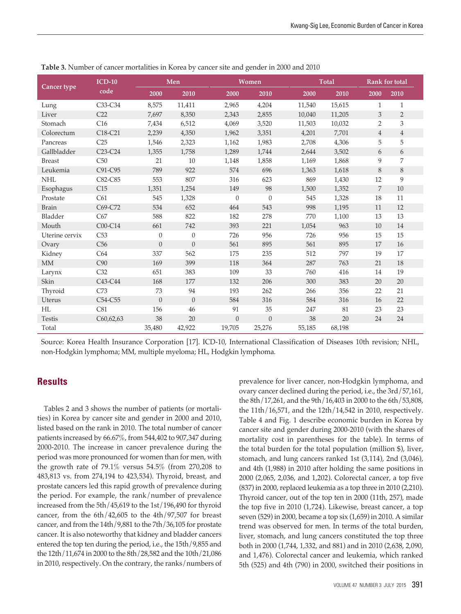| Cancer type    | $ICD-10$                         |                | Men            |          | Women    |        | Total  |                | <b>Rank for total</b> |  |
|----------------|----------------------------------|----------------|----------------|----------|----------|--------|--------|----------------|-----------------------|--|
|                | code                             | 2000           | 2010           | 2000     | 2010     | 2000   | 2010   | 2000           | 2010                  |  |
| Lung           | C33-C34                          | 8,575          | 11,411         | 2,965    | 4,204    | 11,540 | 15,615 | $\mathbf{1}$   | $\mathbf{1}$          |  |
| Liver          | C22                              | 7,697          | 8,350          | 2,343    | 2,855    | 10,040 | 11,205 | 3              | $\overline{2}$        |  |
| Stomach        | C16                              | 7,434          | 6,512          | 4,069    | 3,520    | 11,503 | 10,032 | $\overline{2}$ | 3                     |  |
| Colorectum     | C <sub>18</sub> -C <sub>21</sub> | 2,239          | 4,350          | 1,962    | 3,351    | 4,201  | 7,701  | $\overline{4}$ | $\overline{4}$        |  |
| Pancreas       | C25                              | 1,546          | 2,323          | 1,162    | 1,983    | 2,708  | 4,306  | 5              | 5                     |  |
| Gallbladder    | $C23-C24$                        | 1,355          | 1,758          | 1,289    | 1,744    | 2,644  | 3,502  | 6              | 6                     |  |
| <b>Breast</b>  | C50                              | 21             | 10             | 1,148    | 1,858    | 1,169  | 1,868  | 9              | 7                     |  |
| Leukemia       | C91-C95                          | 789            | 922            | 574      | 696      | 1,363  | 1,618  | 8              | 8                     |  |
| <b>NHL</b>     | C82-C85                          | 553            | 807            | 316      | 623      | 869    | 1,430  | 12             | 9                     |  |
| Esophagus      | C15                              | 1,351          | 1,254          | 149      | 98       | 1,500  | 1,352  | 7              | 10                    |  |
| Prostate       | C61                              | 545            | 1,328          | $\theta$ | $\theta$ | 545    | 1,328  | 18             | 11                    |  |
| <b>Brain</b>   | C69-C72                          | 534            | 652            | 464      | 543      | 998    | 1,195  | 11             | 12                    |  |
| Bladder        | C67                              | 588            | 822            | 182      | 278      | 770    | 1,100  | 13             | 13                    |  |
| Mouth          | $C00-C14$                        | 661            | 742            | 393      | 221      | 1,054  | 963    | 10             | 14                    |  |
| Uterine cervix | C53                              | $\theta$       | $\mathbf{0}$   | 726      | 956      | 726    | 956    | 15             | 15                    |  |
| Ovary          | C56                              | $\overline{0}$ | $\theta$       | 561      | 895      | 561    | 895    | 17             | 16                    |  |
| Kidney         | C64                              | 337            | 562            | 175      | 235      | 512    | 797    | 19             | 17                    |  |
| <b>MM</b>      | C90                              | 169            | 399            | 118      | 364      | 287    | 763    | 21             | 18                    |  |
| Larynx         | C32                              | 651            | 383            | 109      | 33       | 760    | 416    | 14             | 19                    |  |
| Skin           | C <sub>43</sub> -C <sub>44</sub> | 168            | 177            | 132      | 206      | 300    | 383    | 20             | 20                    |  |
| Thyroid        | C73                              | 73             | 94             | 193      | 262      | 266    | 356    | 22             | 21                    |  |
| Uterus         | C54-C55                          | $\overline{0}$ | $\overline{0}$ | 584      | 316      | 584    | 316    | 16             | 22                    |  |
| HL             | C81                              | 156            | 46             | 91       | 35       | 247    | 81     | 23             | 23                    |  |
| Testis         | C60,62,63                        | 38             | 20             | $\theta$ | $\theta$ | 38     | 20     | 24             | 24                    |  |
| Total          |                                  | 35,480         | 42,922         | 19,705   | 25,276   | 55,185 | 68,198 |                |                       |  |

**Table 3.** Number of cancer mortalities in Korea by cancer site and gender in 2000 and 2010

Source: Korea Health Insurance Corporation [17]. ICD-10, International Classification of Diseases 10th revision; NHL, non-Hodgkin lymphoma; MM, multiple myeloma; HL, Hodgkin lymphoma.

### **Results**

Tables 2 and 3 shows the number of patients (or mortalities) in Korea by cancer site and gender in 2000 and 2010, listed based on the rank in 2010. The total number of cancer patients increased by 66.67%, from 544,402 to 907,347 during 2000-2010. The increase in cancer prevalence during the period was more pronounced for women than for men, with the growth rate of 79.1% versus 54.5% (from 270,208 to 483,813 vs. from 274,194 to 423,534). Thyroid, breast, and prostate cancers led this rapid growth of prevalence during the period. For example, the rank/number of prevalence increased from the 5th/45,619 to the 1st/196,490 for thyroid cancer, from the 6th/42,605 to the 4th/97,507 for breast cancer, and from the 14th/9,881 to the 7th/36,105 for prostate cancer. It is also noteworthy that kidney and bladder cancers entered the top ten during the period, i.e., the 15th/9,855 and the 12th/11,674 in 2000 to the 8th/28,582 and the 10th/21,086 in 2010, respectively. On the contrary, the ranks/numbers of prevalence for liver cancer, non-Hodgkin lymphoma, and ovary cancer declined during the period, i.e., the 3rd/57,161, the 8th/17,261, and the 9th/16,403 in 2000 to the 6th/53,808, the 11th/16,571, and the 12th/14,542 in 2010, respectively. Table 4 and Fig. 1 describe economic burden in Korea by cancer site and gender during 2000-2010 (with the shares of mortality cost in parentheses for the table). In terms of the total burden for the total population (million \$), liver, stomach, and lung cancers ranked 1st (3,114), 2nd (3,046), and 4th (1,988) in 2010 after holding the same positions in 2000 (2,065, 2,036, and 1,202). Colorectal cancer, a top five (837) in 2000, replaced leukemia as a top three in 2010 (2,210). Thyroid cancer, out of the top ten in 2000 (11th, 257), made the top five in 2010 (1,724). Likewise, breast cancer, a top seven (529) in 2000, became a top six (1,659) in 2010. A similar trend was observed for men. In terms of the total burden, liver, stomach, and lung cancers constituted the top three both in 2000 (1,744, 1,332, and 881) and in 2010 (2,638, 2,090, and 1,476). Colorectal cancer and leukemia, which ranked 5th (525) and 4th (790) in 2000, switched their positions in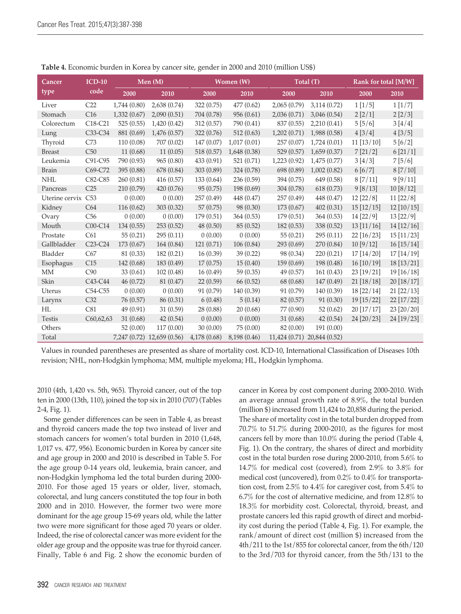| Cancer             | $ICD-10$                         |             | Men $(M)$                  |              | Women (W)    | Total (T)                   |             | Rank for total [M/W] |                  |
|--------------------|----------------------------------|-------------|----------------------------|--------------|--------------|-----------------------------|-------------|----------------------|------------------|
| type               | code                             | 2000        | 2010                       | 2000         | 2010         | 2000                        | 2010        | 2000                 | 2010             |
| Liver              | C22                              | 1,744(0.80) | 2,638(0.74)                | 322(0.75)    | 477(0.62)    | 2,065(0.79)                 | 3,114(0.72) | 1[1/5]               | $1\,[1/7]$       |
| Stomach            | C16                              | 1,332(0.67) | 2,090(0.51)                | 704 (0.78)   | 956 (0.61)   | 2,036(0.71)                 | 3,046(0.54) | 2[2/1]               | 2[2/3]           |
| Colorectum         | C <sub>18</sub> -C <sub>21</sub> | 525(0.55)   | 1,420(0.42)                | 312(0.57)    | 790 (0.41)   | 837 (0.55)                  | 2,210(0.41) | 5[5/6]               | 3[4/4]           |
| Lung               | C33-C34                          | 881 (0.69)  | 1,476(0.57)                | 322(0.76)    | 512(0.63)    | 1,202(0.71)                 | 1,988(0.58) | 4[3/4]               | 4[3/5]           |
| Thyroid            | C73                              | 110(0.08)   | 707 (0.02)                 | 147(0.07)    | 1,017(0.01)  | 257(0.07)                   | 1,724(0.01) | $11$ [ $13/10$ ]     | 5[6/2]           |
| <b>Breast</b>      | C50                              | 11(0.68)    | 11(0.05)                   | 518 (0.57)   | 1,648(0.38)  | 529 (0.57)                  | 1,659(0.37) | 7[21/2]              | 6[21/1]          |
| Leukemia           | C91-C95                          | 790 (0.93)  | 965(0.80)                  | 433 (0.91)   | 521 (0.71)   | 1,223(0.92)                 | 1,475(0.77) | 3[4/3]               | 7[5/6]           |
| <b>Brain</b>       | C69-C72                          | 395 (0.88)  | 678 (0.84)                 | 303 (0.89)   | 324 (0.78)   | 698 (0.89)                  | 1,002(0.82) | 6[6/7]               | 8 [7/10]         |
| <b>NHL</b>         | C82-C85                          | 260(0.81)   | 416(0.57)                  | 133(0.64)    | 236(0.59)    | 394 (0.75)                  | 649 (0.58)  | 8 [7/11]             | 9[9/11]          |
| Pancreas           | C25                              | 210(0.79)   | 420(0.76)                  | 95(0.75)     | 198 (0.69)   | 304 (0.78)                  | 618(0.73)   | 9 [8/13]             | 10 [8/12]        |
| Uterine cervix C53 |                                  | 0(0.00)     | 0(0.00)                    | 257 (0.49)   | 448 (0.47)   | 257(0.49)                   | 448 (0.47)  | 12 [22/8]            | 11 [22/8]        |
| Kidney             | C64                              | 116(0.62)   | 303 (0.32)                 | 57(0.75)     | 98 (0.30)    | 173(0.67)                   | 402(0.31)   | $15$ [ $12/15$ ]     | $12$ [ $10/15$ ] |
| Ovary              | C56                              | 0(0.00)     | 0(0.00)                    | 179 (0.51)   | 364 (0.53)   | 179 (0.51)                  | 364(0.53)   | 14 [22/9]            | 13 [22/9]        |
| Mouth              | C00-C14                          | 134(0.55)   | 253(0.52)                  | 48(0.50)     | 85(0.52)     | 182(0.53)                   | 338 (0.52)  | 13 [11/16]           | 14 [12/16]       |
| Prostate           | C61                              | 55(0.21)    | 295(0.11)                  | 0(0.00)      | 0(0.00)      | 55(0.21)                    | 295(0.11)   | $22$ [16/23]         | $15$ [ $11/23$ ] |
| Gallbladder        | C <sub>23</sub> -C <sub>24</sub> | 173(0.67)   | 164(0.84)                  | 121(0.71)    | 106(0.84)    | 293(0.69)                   | 270 (0.84)  | 10[9/12]             | 16[15/14]        |
| Bladder            | C67                              | 81 (0.33)   | 182(0.21)                  | 16(0.39)     | 39(0.22)     | 98 (0.34)                   | 220(0.21)   | $17$ [ $14/20$ ]     | $17$ [ $14/19$ ] |
| Esophagus          | C15                              | 142 (0.68)  | 183 (0.49)                 | 17(0.75)     | 15(0.40)     | 159 (0.69)                  | 198 (0.48)  | 16 [10/19]           | 18 [13/21]       |
| <b>MM</b>          | C90                              | 33(0.61)    | 102(0.48)                  | 16(0.49)     | 59(0.35)     | 49(0.57)                    | 161(0.43)   | 23 [19/21]           | 19 [16/18]       |
| Skin               | C43-C44                          | 46(0.72)    | 81(0.47)                   | 22(0.59)     | 66 (0.52)    | 68 (0.68)                   | 147(0.49)   | $21$ [18/18]         | $20$ [18/17]     |
| Uterus             | C54-C55                          | 0(0.00)     | 0(0.00)                    | 91 (0.79)    | 140(0.39)    | 91 (0.79)                   | 140(0.39)   | $18$ [22/14]         | 21 [22/13]       |
| Larynx             | C32                              | 76 (0.57)   | 86 (0.31)                  | 6(0.48)      | 5(0.14)      | 82 (0.57)                   | 91 (0.30)   | $19$ [ $15/22$ ]     | 22 [17/22]       |
| HL                 | C81                              | 49(0.91)    | 31(0.59)                   | 28 (0.88)    | 20(0.68)     | 77 (0.90)                   | 52(0.62)    | 20 [17/17]           | 23 [20/20]       |
| Testis             | C60,62,63                        | 31(0.68)    | 42(0.54)                   | 0(0.00)      | 0(0.00)      | 31(0.68)                    | 42(0.54)    | 24 [20/23]           | 24 [19/23]       |
| Others             |                                  | 52(0.00)    | 117(0.00)                  | 30(0.00)     | 75(0.00)     | 82 (0.00)                   | 191(0.00)   |                      |                  |
| Total              |                                  |             | 7,247 (0.72) 12,659 (0.56) | 4,178 (0.68) | 8,198 (0.46) | 11,424 (0.71) 20,844 (0.52) |             |                      |                  |

**Table 4.** Economic burden in Korea by cancer site, gender in 2000 and 2010 (million US\$)

Values in rounded parentheses are presented as share of mortality cost. ICD-10, International Classification of Diseases 10th revision; NHL, non-Hodgkin lymphoma; MM, multiple myeloma; HL, Hodgkin lymphoma.

2010 (4th, 1,420 vs. 5th, 965). Thyroid cancer, out of the top ten in 2000 (13th, 110), joined the top six in 2010 (707) (Tables 2-4, Fig. 1).

Some gender differences can be seen in Table 4, as breast and thyroid cancers made the top two instead of liver and stomach cancers for women's total burden in 2010 (1,648, 1,017 vs. 477, 956). Economic burden in Korea by cancer site and age group in 2000 and 2010 is described in Table 5. For the age group 0-14 years old, leukemia, brain cancer, and non-Hodgkin lymphoma led the total burden during 2000- 2010. For those aged 15 years or older, liver, stomach, colorectal, and lung cancers constituted the top four in both 2000 and in 2010. However, the former two were more dominant for the age group 15-69 years old, while the latter two were more significant for those aged 70 years or older. Indeed, the rise of colorectal cancer was more evident for the older age group and the opposite was true for thyroid cancer. Finally, Table 6 and Fig. 2 show the economic burden of cancer in Korea by cost component during 2000-2010. With an average annual growth rate of 8.9%, the total burden (million \$) increased from 11,424 to 20,858 during the period. The share of mortality cost in the total burden dropped from 70.7% to 51.7% during 2000-2010, as the figures for most cancers fell by more than 10.0% during the period (Table 4, Fig. 1). On the contrary, the shares of direct and morbidity cost in the total burden rose during 2000-2010, from 5.6% to 14.7% for medical cost (covered), from 2.9% to 3.8% for medical cost (uncovered), from 0.2% to 0.4% for transportation cost, from 2.5% to 4.4% for caregiver cost, from 5.4% to 6.7% for the cost of alternative medicine, and from 12.8% to 18.3% for morbidity cost. Colorectal, thyroid, breast, and prostate cancers led this rapid growth of direct and morbidity cost during the period (Table 4, Fig. 1). For example, the rank/amount of direct cost (million \$) increased from the 4th/211 to the 1st/855 for colorectal cancer, from the 6th/120 to the 3rd/703 for thyroid cancer, from the 5th/131 to the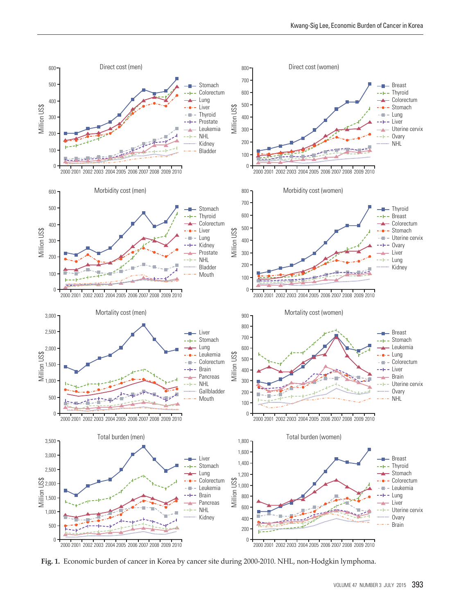

**Fig. 1.** Economic burden of cancer in Korea by cancer site during 2000-2010. NHL, non-Hodgkin lymphoma.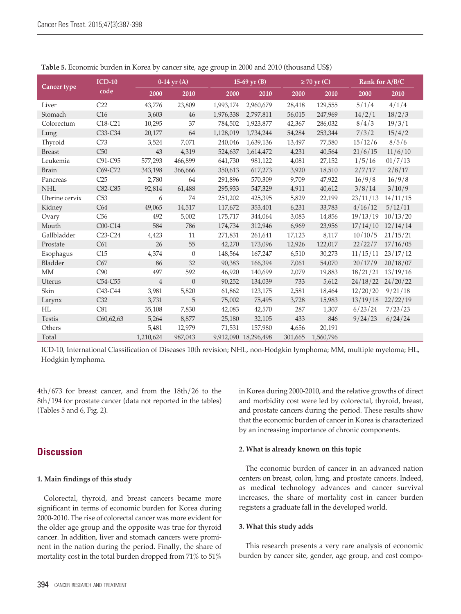|                | $ICD-10$                         |                | $0-14$ yr $(A)$  |           | 15-69 yr $(B)$       |         | $\geq$ 70 yr (C) |          | Rank for A/B/C |
|----------------|----------------------------------|----------------|------------------|-----------|----------------------|---------|------------------|----------|----------------|
| Cancer type    | code                             | 2000           | 2010             | 2000      | 2010                 | 2000    | 2010             | 2000     | 2010           |
| Liver          | C22                              | 43,776         | 23,809           | 1,993,174 | 2,960,679            | 28,418  | 129,555          | 5/1/4    | 4/1/4          |
| Stomach        | C16                              | 3,603          | 46               | 1,976,338 | 2,797,811            | 56,015  | 247,969          | 14/2/1   | 18/2/3         |
| Colorectum     | C18-C21                          | 10,295         | 37               | 784,502   | 1,923,877            | 42,367  | 286,032          | 8/4/3    | 19/3/1         |
| Lung           | C33-C34                          | 20,177         | 64               | 1,128,019 | 1,734,244            | 54,284  | 253,344          | 7/3/2    | 15/4/2         |
| Thyroid        | C73                              | 3,524          | 7,071            | 240,046   | 1,639,136            | 13,497  | 77,580           | 15/12/6  | 8/5/6          |
| <b>Breast</b>  | C50                              | 43             | 4,319            | 524,637   | 1,614,472            | 4,231   | 40,564           | 21/6/15  | 11/6/10        |
| Leukemia       | C91-C95                          | 577,293        | 466,899          | 641,730   | 981,122              | 4,081   | 27,152           | 1/5/16   | 01/7/13        |
| <b>Brain</b>   | C69-C72                          | 343,198        | 366,666          | 350,613   | 617,273              | 3,920   | 18,510           | 2/7/17   | 2/8/17         |
| Pancreas       | C25                              | 2,780          | 64               | 291,896   | 570,309              | 9,709   | 47,922           | 16/9/8   | 16/9/8         |
| <b>NHL</b>     | C82-C85                          | 92,814         | 61,488           | 295,933   | 547,329              | 4,911   | 40,612           | 3/8/14   | 3/10/9         |
| Uterine cervix | C53                              | 6              | 74               | 251,202   | 425,395              | 5,829   | 22,199           | 23/11/13 | 14/11/15       |
| Kidney         | C64                              | 49,065         | 14,517           | 117,672   | 353,401              | 6,231   | 33,783           | 4/16/12  | 5/12/11        |
| Ovary          | C56                              | 492            | 5,002            | 175,717   | 344,064              | 3,083   | 14,856           | 19/13/19 | 10/13/20       |
| Mouth          | C00-C14                          | 584            | 786              | 174,734   | 312,946              | 6,969   | 23,956           | 17/14/10 | 12/14/14       |
| Gallbladder    | C <sub>23</sub> -C <sub>24</sub> | 4,423          | 11               | 271,831   | 261,641              | 17,123  | 8,117            | 10/10/5  | 21/15/21       |
| Prostate       | C61                              | 26             | 55               | 42,270    | 173,096              | 12,926  | 122,017          | 22/22/7  | 17/16/05       |
| Esophagus      | C15                              | 4,374          | $\boldsymbol{0}$ | 148,564   | 167,247              | 6,510   | 30,273           | 11/15/11 | 23/17/12       |
| Bladder        | C67                              | 86             | 32               | 90,383    | 166,394              | 7,061   | 54,070           | 20/17/9  | 20/18/07       |
| MM             | C90                              | 497            | 592              | 46,920    | 140,699              | 2,079   | 19,883           | 18/21/21 | 13/19/16       |
| Uterus         | C54-C55                          | $\overline{4}$ | $\theta$         | 90,252    | 134,039              | 733     | 5,612            | 24/18/22 | 24/20/22       |
| Skin           | $C43-C44$                        | 3,981          | 5,820            | 61,862    | 123,175              | 2,581   | 18,464           | 12/20/20 | 9/21/18        |
| Larynx         | C32                              | 3,731          | 5                | 75,002    | 75,495               | 3,728   | 15,983           | 13/19/18 | 22/22/19       |
| HL             | C81                              | 35,108         | 7,830            | 42,083    | 42,570               | 287     | 1,307            | 6/23/24  | 7/23/23        |
| <b>Testis</b>  | C60,62,63                        | 5,264          | 8,877            | 25,180    | 32,105               | 433     | 846              | 9/24/23  | 6/24/24        |
| Others         |                                  | 5,481          | 12,979           | 71,531    | 157,980              | 4,656   | 20,191           |          |                |
| Total          |                                  | 1,210,624      | 987,043          |           | 9,912,090 18,296,498 | 301,665 | 1,560,796        |          |                |

**Table 5.** Economic burden in Korea by cancer site, age group in 2000 and 2010 (thousand US\$)

ICD-10, International Classification of Diseases 10th revision; NHL, non-Hodgkin lymphoma; MM, multiple myeloma; HL, Hodgkin lymphoma.

4th/673 for breast cancer, and from the 18th/26 to the 8th/194 for prostate cancer (data not reported in the tables) (Tables 5 and 6, Fig. 2).

## **Discussion**

#### **1. Main findings of this study**

Colorectal, thyroid, and breast cancers became more significant in terms of economic burden for Korea during 2000-2010. The rise of colorectal cancer was more evident for the older age group and the opposite was true for thyroid cancer. In addition, liver and stomach cancers were prominent in the nation during the period. Finally, the share of mortality cost in the total burden dropped from 71% to 51% in Korea during 2000-2010, and the relative growths of direct and morbidity cost were led by colorectal, thyroid, breast, and prostate cancers during the period. These results show that the economic burden of cancer in Korea is characterized by an increasing importance of chronic components.

#### **2. What is already known on this topic**

The economic burden of cancer in an advanced nation centers on breast, colon, lung, and prostate cancers. Indeed, as medical technology advances and cancer survival increases, the share of mortality cost in cancer burden registers a graduate fall in the developed world.

#### **3. What this study adds**

This research presents a very rare analysis of economic burden by cancer site, gender, age group, and cost compo-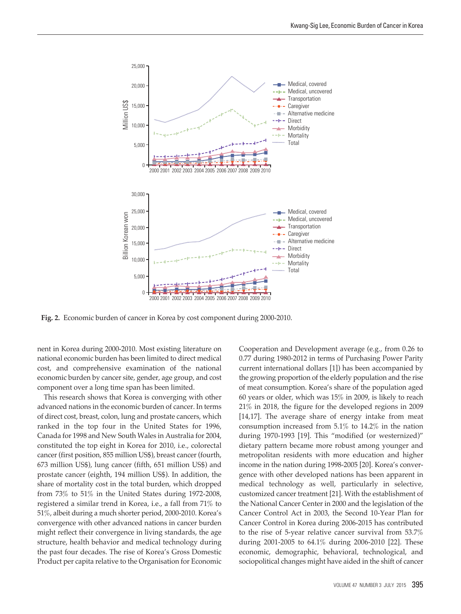

**Fig. 2.** Economic burden of cancer in Korea by cost component during 2000-2010.

nent in Korea during 2000-2010. Most existing literature on national economic burden has been limited to direct medical cost, and comprehensive examination of the national economic burden by cancer site, gender, age group, and cost component over a long time span has been limited.

This research shows that Korea is converging with other advanced nations in the economic burden of cancer. In terms of direct cost, breast, colon, lung and prostate cancers, which ranked in the top four in the United States for 1996, Canada for 1998 and New South Wales in Australia for 2004, constituted the top eight in Korea for 2010, i.e., colorectal cancer (first position, 855 million US\$), breast cancer (fourth, 673 million US\$), lung cancer (fifth, 651 million US\$) and prostate cancer (eighth, 194 million US\$). In addition, the share of mortality cost in the total burden, which dropped from 73% to 51% in the United States during 1972-2008, registered a similar trend in Korea, i.e., a fall from 71% to 51%, albeit during a much shorter period, 2000-2010. Korea's convergence with other advanced nations in cancer burden might reflect their convergence in living standards, the age structure, health behavior and medical technology during the past four decades. The rise of Korea's Gross Domestic Product per capita relative to the Organisation for Economic Cooperation and Development average (e.g., from 0.26 to 0.77 during 1980-2012 in terms of Purchasing Power Parity current international dollars [1]) has been accompanied by the growing proportion of the elderly population and the rise of meat consumption. Korea's share of the population aged 60 years or older, which was 15% in 2009, is likely to reach 21% in 2018, the figure for the developed regions in 2009 [14,17]. The average share of energy intake from meat consumption increased from 5.1% to 14.2% in the nation during 1970-1993 [19]. This "modified (or westernized)" dietary pattern became more robust among younger and metropolitan residents with more education and higher income in the nation during 1998-2005 [20]. Korea's convergence with other developed nations has been apparent in medical technology as well, particularly in selective, customized cancer treatment [21]. With the establishment of the National Cancer Center in 2000 and the legislation of the Cancer Control Act in 2003, the Second 10-Year Plan for Cancer Control in Korea during 2006-2015 has contributed to the rise of 5-year relative cancer survival from 53.7% during 2001-2005 to 64.1% during 2006-2010 [22]. These economic, demographic, behavioral, technological, and sociopolitical changes might have aided in the shift of cancer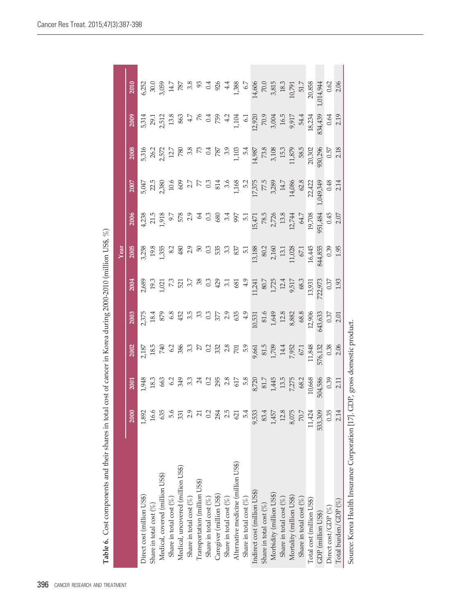|                                                                              |          |                                |         |                                                                                                                                                                                                                                                                                                                     |                                                                                           | Year    |         |                                                                                                                                          |                                                                                                                                                                                                                                                                                                               |                                                        |                                                                                   |
|------------------------------------------------------------------------------|----------|--------------------------------|---------|---------------------------------------------------------------------------------------------------------------------------------------------------------------------------------------------------------------------------------------------------------------------------------------------------------------------|-------------------------------------------------------------------------------------------|---------|---------|------------------------------------------------------------------------------------------------------------------------------------------|---------------------------------------------------------------------------------------------------------------------------------------------------------------------------------------------------------------------------------------------------------------------------------------------------------------|--------------------------------------------------------|-----------------------------------------------------------------------------------|
|                                                                              | 2000     | 2001                           | 2002    | 2003                                                                                                                                                                                                                                                                                                                | <b>2004</b>                                                                               | 2005    | 2006    | 2007                                                                                                                                     | 2008                                                                                                                                                                                                                                                                                                          | 2009                                                   | 2010                                                                              |
| Direct cost (million US\$)                                                   | 1,892    | 3761                           | 2,187   |                                                                                                                                                                                                                                                                                                                     |                                                                                           |         |         |                                                                                                                                          |                                                                                                                                                                                                                                                                                                               |                                                        |                                                                                   |
| Share in total cost $(\%)$                                                   | 16.6     | 18.3                           |         | 2,37t<br>18.4                                                                                                                                                                                                                                                                                                       |                                                                                           |         |         |                                                                                                                                          |                                                                                                                                                                                                                                                                                                               |                                                        |                                                                                   |
| Medical, covered (million US\$)                                              | 635      |                                |         |                                                                                                                                                                                                                                                                                                                     |                                                                                           |         |         |                                                                                                                                          |                                                                                                                                                                                                                                                                                                               |                                                        |                                                                                   |
| Share in total cost $(\%)$                                                   | 5.6      |                                |         |                                                                                                                                                                                                                                                                                                                     |                                                                                           |         |         |                                                                                                                                          |                                                                                                                                                                                                                                                                                                               |                                                        |                                                                                   |
| Medical, uncovered (million US\$)                                            | 331      |                                |         |                                                                                                                                                                                                                                                                                                                     |                                                                                           |         |         |                                                                                                                                          |                                                                                                                                                                                                                                                                                                               |                                                        |                                                                                   |
| Share in total cost $(\%)$                                                   | 2.9      |                                |         | $\frac{2}{3}$ $\frac{2}{3}$ $\frac{2}{3}$ $\frac{1}{3}$ $\frac{2}{3}$ $\frac{2}{3}$ $\frac{2}{3}$ $\frac{1}{3}$ $\frac{2}{3}$ $\frac{2}{3}$ $\frac{2}{3}$ $\frac{2}{3}$ $\frac{2}{3}$ $\frac{2}{3}$ $\frac{2}{3}$ $\frac{2}{3}$ $\frac{2}{3}$ $\frac{2}{3}$ $\frac{2}{3}$ $\frac{2}{3}$ $\frac{2}{3}$ $\frac{2}{3}$ |                                                                                           |         |         | 5,047<br>22.58 0.66 0.66 0.77 57.378 0.67<br>2.77 57.378 1.168 1.168 1.168 1.168 1.168 1.168 1.168 1.168 1.168 1.17<br>1.14,086 1.14,086 | $\begin{array}{l} 5.316 \\ 5.572 \\ 2.572 \\ 1.78 \\ 2.87 \\ 2.87 \\ 2.87 \\ 2.87 \\ 2.87 \\ 2.87 \\ 2.87 \\ 2.87 \\ 2.87 \\ 2.87 \\ 2.87 \\ 2.87 \\ 2.87 \\ 2.87 \\ 2.87 \\ 2.87 \\ 2.87 \\ 2.87 \\ 2.87 \\ 2.87 \\ 2.87 \\ 2.87 \\ 2.87 \\ 2.87 \\ 2.87 \\ 2.89 \\ 2.89 \\ 2.89 \\ 2.89 \\ 2.89 \\ 2.89 \\$ |                                                        | $6,252$<br>$30.059$<br>$3,054$<br>$780$<br>$8,8$<br>$3,054$<br>$1,388$<br>$1,388$ |
| Transportation (million US\$)                                                | 21       |                                |         |                                                                                                                                                                                                                                                                                                                     |                                                                                           |         |         |                                                                                                                                          |                                                                                                                                                                                                                                                                                                               |                                                        |                                                                                   |
| Share in total cost $(\%)$                                                   | 0.2      |                                |         |                                                                                                                                                                                                                                                                                                                     |                                                                                           |         |         |                                                                                                                                          |                                                                                                                                                                                                                                                                                                               |                                                        |                                                                                   |
| Caregiver (million US\$)                                                     | 284      |                                |         |                                                                                                                                                                                                                                                                                                                     |                                                                                           |         |         |                                                                                                                                          |                                                                                                                                                                                                                                                                                                               |                                                        |                                                                                   |
| Share in total cost $(\%)$                                                   | 2.5      |                                |         |                                                                                                                                                                                                                                                                                                                     |                                                                                           |         |         |                                                                                                                                          |                                                                                                                                                                                                                                                                                                               |                                                        |                                                                                   |
| Alternative medicine (million US\$)                                          | 621      |                                |         |                                                                                                                                                                                                                                                                                                                     |                                                                                           |         |         |                                                                                                                                          |                                                                                                                                                                                                                                                                                                               |                                                        |                                                                                   |
| Share in total cost $(\%)$                                                   | 5.4      |                                |         |                                                                                                                                                                                                                                                                                                                     |                                                                                           |         |         |                                                                                                                                          |                                                                                                                                                                                                                                                                                                               |                                                        | 6.7                                                                               |
| Indirect cost (million US\$)                                                 | 9,533    |                                |         |                                                                                                                                                                                                                                                                                                                     |                                                                                           |         |         |                                                                                                                                          |                                                                                                                                                                                                                                                                                                               |                                                        |                                                                                   |
| Share in total cost $(\%)$                                                   | 83.4     | $8,720$ $81.7$                 |         |                                                                                                                                                                                                                                                                                                                     |                                                                                           |         |         |                                                                                                                                          |                                                                                                                                                                                                                                                                                                               |                                                        |                                                                                   |
| Morbidity (million US\$)                                                     | 1,457    |                                |         | $\begin{array}{r} 10,531 \\ 81.6 \\ 1,649 \\ 12.8 \\ 8,882 \\ 68.8 \\ 63.8 \\ 12,906 \end{array}$                                                                                                                                                                                                                   | $\begin{array}{c} 11,241 \\ 80.7 \\ 1,725 \\ 12.4 \\ 9,517 \\ 68.3 \\ 13,931 \end{array}$ |         |         |                                                                                                                                          |                                                                                                                                                                                                                                                                                                               | 6.1<br>12,920<br>70.9<br>16.5<br>16.5<br>9,917<br>94.4 | $\begin{array}{c} 14,606 \\ 70.0 \\ 3,815 \\ 18.3 \\ 10,791 \\ 51.7 \end{array}$  |
| Share in total cost $(\%)$                                                   | 12.8     |                                |         |                                                                                                                                                                                                                                                                                                                     |                                                                                           |         |         |                                                                                                                                          |                                                                                                                                                                                                                                                                                                               |                                                        |                                                                                   |
| Mortality (million US\$)                                                     | 8,075    | 1,445<br>13.5<br>7,275<br>68.2 |         |                                                                                                                                                                                                                                                                                                                     |                                                                                           |         |         |                                                                                                                                          |                                                                                                                                                                                                                                                                                                               |                                                        |                                                                                   |
| Share in total cost $(\%)$                                                   | $70.7\,$ |                                |         |                                                                                                                                                                                                                                                                                                                     |                                                                                           |         |         | 62.8                                                                                                                                     |                                                                                                                                                                                                                                                                                                               |                                                        |                                                                                   |
| Total cost (million US\$)                                                    | 11,424   | 10,668                         |         |                                                                                                                                                                                                                                                                                                                     |                                                                                           | 16,445  | 19,708  | 22,422                                                                                                                                   | 20,302                                                                                                                                                                                                                                                                                                        | 18,234                                                 | 20,858                                                                            |
| GDP (million US\$)                                                           | 533,309  | 504,586                        | 576,132 | 643,633                                                                                                                                                                                                                                                                                                             |                                                                                           | 844,855 | 951,484 | ,049,349                                                                                                                                 | 930,296                                                                                                                                                                                                                                                                                                       |                                                        | ,014,944                                                                          |
| Direct cost/GDP $(\%)$                                                       | 0.35     | 0.39                           | 0.38    | 0.37                                                                                                                                                                                                                                                                                                                | 722,973<br>0.37                                                                           | 0.35    | 0.45    | 0.48                                                                                                                                     | 0.57                                                                                                                                                                                                                                                                                                          | 834,439<br>0.64                                        | 0.62                                                                              |
| Total burden/GDP $(\%)$                                                      | 2.14     | 2.11                           | 2.06    | 2.01                                                                                                                                                                                                                                                                                                                | 1.93                                                                                      | 1.95    | 2.07    | 2.14                                                                                                                                     | 2.18                                                                                                                                                                                                                                                                                                          | 2.19                                                   | 2.06                                                                              |
| Source: Korea Health Insurance Corporation [17]. GDP, gross domestic product |          |                                |         |                                                                                                                                                                                                                                                                                                                     |                                                                                           |         |         |                                                                                                                                          |                                                                                                                                                                                                                                                                                                               |                                                        |                                                                                   |

Table 6. Cost components and their shares in total cost of cancer in Korea during 2000-2010 (million US\$, %) **Table 6.** Cost components and their shares in total cost of cancer in Korea during 2000-2010 (million US\$, %)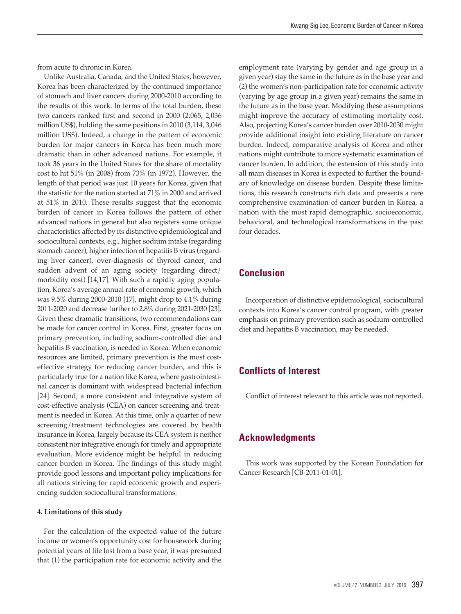from acute to chronic in Korea.

Unlike Australia, Canada, and the United States, however, Korea has been characterized by the continued importance of stomach and liver cancers during 2000-2010 according to the results of this work. In terms of the total burden, these two cancers ranked first and second in 2000 (2,065, 2,036 million US\$), holding the same positions in 2010 (3,114, 3,046 million US\$). Indeed, a change in the pattern of economic burden for major cancers in Korea has been much more dramatic than in other advanced nations. For example, it took 36 years in the United States for the share of mortality cost to hit 51% (in 2008) from 73% (in 1972). However, the length of that period was just 10 years for Korea, given that the statistic for the nation started at 71% in 2000 and arrived at 51% in 2010. These results suggest that the economic burden of cancer in Korea follows the pattern of other advanced nations in general but also registers some unique characteristics affected by its distinctive epidemiological and sociocultural contexts, e.g., higher sodium intake (regarding stomach cancer), higher infection of hepatitis B virus (regarding liver cancer), over-diagnosis of thyroid cancer, and sudden advent of an aging society (regarding direct/ morbidity cost) [14,17]. With such a rapidly aging population, Korea's average annual rate of economic growth, which was 9.5% during 2000-2010 [17], might drop to 4.1% during 2011-2020 and decrease further to 2.8% during 2021-2030 [23]. Given these dramatic transitions, two recommendations can be made for cancer control in Korea. First, greater focus on primary prevention, including sodium-controlled diet and hepatitis B vaccination, is needed in Korea. When economic resources are limited, primary prevention is the most costeffective strategy for reducing cancer burden, and this is particularly true for a nation like Korea, where gastrointestinal cancer is dominant with widespread bacterial infection [24]. Second, a more consistent and integrative system of cost-effective analysis (CEA) on cancer screening and treatment is needed in Korea. At this time, only a quarter of new screening/treatment technologies are covered by health insurance in Korea, largely because its CEA system is neither consistent nor integrative enough for timely and appropriate evaluation. More evidence might be helpful in reducing cancer burden in Korea. The findings of this study might provide good lessons and important policy implications for all nations striving for rapid economic growth and experiencing sudden sociocultural transformations.

#### **4. Limitations of this study**

For the calculation of the expected value of the future income or women's opportunity cost for housework during potential years of life lost from a base year, it was presumed that (1) the participation rate for economic activity and the

employment rate (varying by gender and age group in a given year) stay the same in the future as in the base year and (2) the women's non-participation rate for economic activity (varying by age group in a given year) remains the same in the future as in the base year. Modifying these assumptions might improve the accuracy of estimating mortality cost. Also, projecting Korea's cancer burden over 2010-2030 might provide additional insight into existing literature on cancer burden. Indeed, comparative analysis of Korea and other nations might contribute to more systematic examination of cancer burden. In addition, the extension of this study into all main diseases in Korea is expected to further the boundary of knowledge on disease burden. Despite these limitations, this research constructs rich data and presents a rare comprehensive examination of cancer burden in Korea, a nation with the most rapid demographic, socioeconomic, behavioral, and technological transformations in the past four decades.

## **Conclusion**

Incorporation of distinctive epidemiological, sociocultural contexts into Korea's cancer control program, with greater emphasis on primary prevention such as sodium-controlled diet and hepatitis B vaccination, may be needed.

## **Conflicts of Interest**

Conflict of interest relevant to this article was not reported.

## **Acknowledgments**

This work was supported by the Korean Foundation for Cancer Research [CB-2011-01-01].